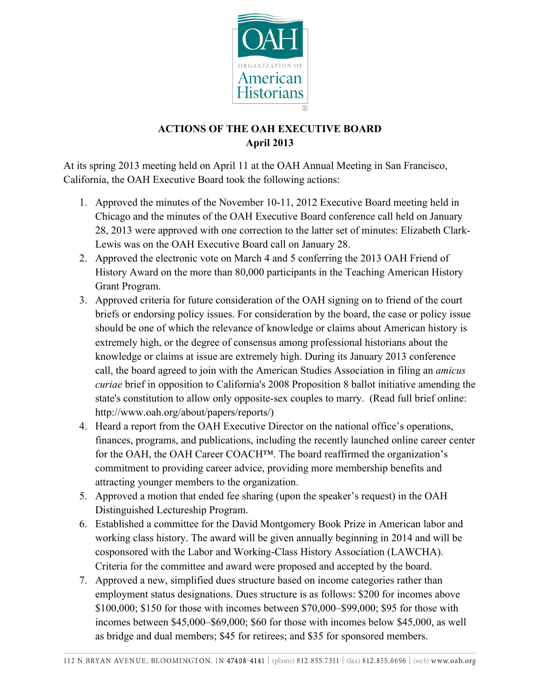

## **ACTIONS OF THE OAH EXECUTIVE BOARD April 2013**

At its spring 2013 meeting held on April 11 at the OAH Annual Meeting in San Francisco, California, the OAH Executive Board took the following actions:

- 1. Approved the minutes of the November 10-11, 2012 Executive Board meeting held in Chicago and the minutes of the OAH Executive Board conference call held on January 28, 2013 were approved with one correction to the latter set of minutes: Elizabeth Clark-Lewis was on the OAH Executive Board call on January 28.
- 2. Approved the electronic vote on March 4 and 5 conferring the 2013 OAH Friend of History Award on the more than 80,000 participants in the Teaching American History Grant Program.
- 3. Approved criteria for future consideration of the OAH signing on to friend of the court briefs or endorsing policy issues. For consideration by the board, the case or policy issue should be one of which the relevance of knowledge or claims about American history is extremely high, or the degree of consensus among professional historians about the knowledge or claims at issue are extremely high. During its January 2013 conference call, the board agreed to join with the American Studies Association in filing an *amicus curiae* brief in opposition to California's 2008 Proposition 8 ballot initiative amending the state's constitution to allow only opposite-sex couples to marry. (Read full brief online: http://www.oah.org/about/papers/reports/)
- 4. Heard a report from the OAH Executive Director on the national office's operations, finances, programs, and publications, including the recently launched online career center for the OAH, the OAH Career COACH™. The board reaffirmed the organization's commitment to providing career advice, providing more membership benefits and attracting younger members to the organization.
- 5. Approved a motion that ended fee sharing (upon the speaker's request) in the OAH Distinguished Lectureship Program.
- 6. Established a committee for the David Montgomery Book Prize in American labor and working class history. The award will be given annually beginning in 2014 and will be cosponsored with the Labor and Working-Class History Association (LAWCHA). Criteria for the committee and award were proposed and accepted by the board.
- 7. Approved a new, simplified dues structure based on income categories rather than employment status designations. Dues structure is as follows: \$200 for incomes above \$100,000; \$150 for those with incomes between \$70,000–\$99,000; \$95 for those with incomes between \$45,000–\$69,000; \$60 for those with incomes below \$45,000, as well as bridge and dual members; \$45 for retirees; and \$35 for sponsored members.